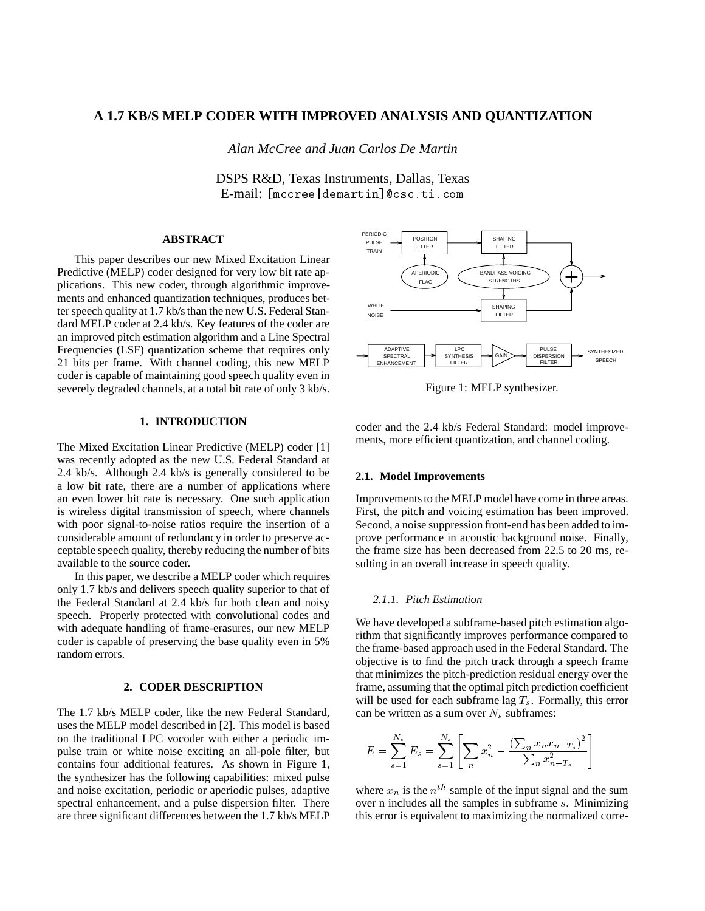# **A 1.7 KB/S MELP CODER WITH IMPROVED ANALYSIS AND QUANTIZATION**

*Alan McCree and Juan Carlos De Martin*

DSPS R&D, Texas Instruments, Dallas, Texas E-mail: [mccree|demartin]@csc.ti.com

# **ABSTRACT**

This paper describes our new Mixed Excitation Linear Predictive (MELP) coder designed for very low bit rate applications. This new coder, through algorithmic improvements and enhanced quantization techniques, produces better speech quality at 1.7 kb/s than the new U.S. Federal Standard MELP coder at 2.4 kb/s. Key features of the coder are an improved pitch estimation algorithm and a Line Spectral Frequencies (LSF) quantization scheme that requires only 21 bits per frame. With channel coding, this new MELP coder is capable of maintaining good speech quality even in severely degraded channels, at a total bit rate of only 3 kb/s.

# **1. INTRODUCTION**

The Mixed Excitation Linear Predictive (MELP) coder [1] was recently adopted as the new U.S. Federal Standard at 2.4 kb/s. Although 2.4 kb/s is generally considered to be a low bit rate, there are a number of applications where an even lower bit rate is necessary. One such application is wireless digital transmission of speech, where channels with poor signal-to-noise ratios require the insertion of a considerable amount of redundancy in order to preserve acceptable speech quality, thereby reducing the number of bits available to the source coder.

In this paper, we describe a MELP coder which requires only 1.7 kb/s and delivers speech quality superior to that of the Federal Standard at 2.4 kb/s for both clean and noisy speech. Properly protected with convolutional codes and with adequate handling of frame-erasures, our new MELP coder is capable of preserving the base quality even in 5% random errors.

### **2. CODER DESCRIPTION**

The 1.7 kb/s MELP coder, like the new Federal Standard, uses the MELP model described in [2]. This model is based on the traditional LPC vocoder with either a periodic impulse train or white noise exciting an all-pole filter, but contains four additional features. As shown in Figure 1, the synthesizer has the following capabilities: mixed pulse and noise excitation, periodic or aperiodic pulses, adaptive spectral enhancement, and a pulse dispersion filter. There are three significant differences between the 1.7 kb/s MELP



Figure 1: MELP synthesizer.

coder and the 2.4 kb/s Federal Standard: model improvements, more efficient quantization, and channel coding.

#### **2.1. Model Improvements**

Improvements to the MELP model have come in three areas. First, the pitch and voicing estimation has been improved. Second, a noise suppression front-end has been added to improve performance in acoustic background noise. Finally, the frame size has been decreased from 22.5 to 20 ms, resulting in an overall increase in speech quality.

# *2.1.1. Pitch Estimation*

We have developed a subframe-based pitch estimation algorithm that significantly improves performance compared to the frame-based approach used in the Federal Standard. The objective is to find the pitch track through a speech frame that minimizes the pitch-prediction residual energy over the frame, assuming that the optimal pitch prediction coefficient will be used for each subframe lag  $T_s$ . Formally, this error can be written as a sum over  $N_s$  subframes:

$$
E = \sum_{s=1}^{N_s} E_s = \sum_{s=1}^{N_s} \left[ \sum_n x_n^2 - \frac{\left(\sum_n x_n x_{n-T_s}\right)^2}{\sum_n x_{n-T_s}^2} \right]
$$

where  $x_n$  is the  $n^{th}$  sample of the input signal and the sum over n includes all the samples in subframe s. Minimizing this error is equivalent to maximizing the normalized corre-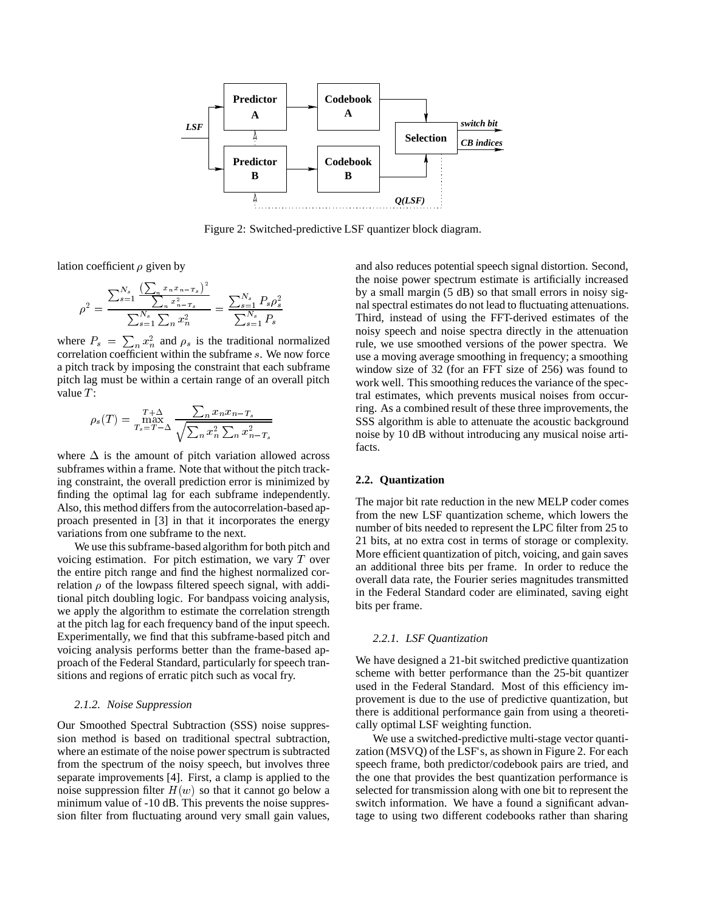

Figure 2: Switched-predictive LSF quantizer block diagram.

lation coefficient  $\rho$  given by

$$
\rho^2 = \frac{\sum_{s=1}^{N_s} \frac{\left(\sum_{n} x_n x_{n-T_s}\right)^2}{\sum_{s=1}^{N_s} \sum_{n} x_{n-T_s}^2}}{\sum_{s=1}^{N_s} \sum_{n} x_n^2} = \frac{\sum_{s=1}^{N_s} P_s \rho_s^2}{\sum_{s=1}^{N_s} P_s}
$$

where  $P_s = \sum_n x_n^2$  and  $\rho_s$  is the traditional normalized correlation coefficient within the subframe s. We now force a pitch track by imposing the constraint that each subframe pitch lag must be within a certain range of an overall pitch value  $T$ :

$$
\rho_s(T) = \max_{T_s = T - \Delta}^{T + \Delta} \frac{\sum_n x_n x_{n-T_s}}{\sqrt{\sum_n x_n^2 \sum_n x_{n-T_s}^2}}
$$

where  $\Delta$  is the amount of pitch variation allowed across subframes within a frame. Note that without the pitch tracking constraint, the overall prediction error is minimized by finding the optimal lag for each subframe independently. Also, this method differs from the autocorrelation-based approach presented in [3] in that it incorporates the energy variations from one subframe to the next.

We use this subframe-based algorithm for both pitch and voicing estimation. For pitch estimation, we vary T over the entire pitch range and find the highest normalized correlation  $\rho$  of the lowpass filtered speech signal, with additional pitch doubling logic. For bandpass voicing analysis, we apply the algorithm to estimate the correlation strength at the pitch lag for each frequency band of the input speech. Experimentally, we find that this subframe-based pitch and voicing analysis performs better than the frame-based approach of the Federal Standard, particularly for speech transitions and regions of erratic pitch such as vocal fry.

### *2.1.2. Noise Suppression*

Our Smoothed Spectral Subtraction (SSS) noise suppression method is based on traditional spectral subtraction, where an estimate of the noise power spectrum is subtracted from the spectrum of the noisy speech, but involves three separate improvements [4]. First, a clamp is applied to the noise suppression filter  $H(w)$  so that it cannot go below a minimum value of -10 dB. This prevents the noise suppression filter from fluctuating around very small gain values,

and also reduces potential speech signal distortion. Second, the noise power spectrum estimate is artificially increased by a small margin (5 dB) so that small errors in noisy signal spectral estimates do not lead to fluctuating attenuations. Third, instead of using the FFT-derived estimates of the noisy speech and noise spectra directly in the attenuation rule, we use smoothed versions of the power spectra. We use a moving average smoothing in frequency; a smoothing window size of 32 (for an FFT size of 256) was found to work well. This smoothing reduces the variance of the spectral estimates, which prevents musical noises from occurring. As a combined result of these three improvements, the SSS algorithm is able to attenuate the acoustic background noise by 10 dB without introducing any musical noise artifacts.

### **2.2. Quantization**

The major bit rate reduction in the new MELP coder comes from the new LSF quantization scheme, which lowers the number of bits needed to represent the LPC filter from 25 to 21 bits, at no extra cost in terms of storage or complexity. More efficient quantization of pitch, voicing, and gain saves an additional three bits per frame. In order to reduce the overall data rate, the Fourier series magnitudes transmitted in the Federal Standard coder are eliminated, saving eight bits per frame.

# *2.2.1. LSF Quantization*

We have designed a 21-bit switched predictive quantization scheme with better performance than the 25-bit quantizer used in the Federal Standard. Most of this efficiency improvement is due to the use of predictive quantization, but there is additional performance gain from using a theoretically optimal LSF weighting function.

We use a switched-predictive multi-stage vector quantization (MSVQ) of the LSF's, as shown in Figure 2. For each speech frame, both predictor/codebook pairs are tried, and the one that provides the best quantization performance is selected for transmission along with one bit to represent the switch information. We have a found a significant advantage to using two different codebooks rather than sharing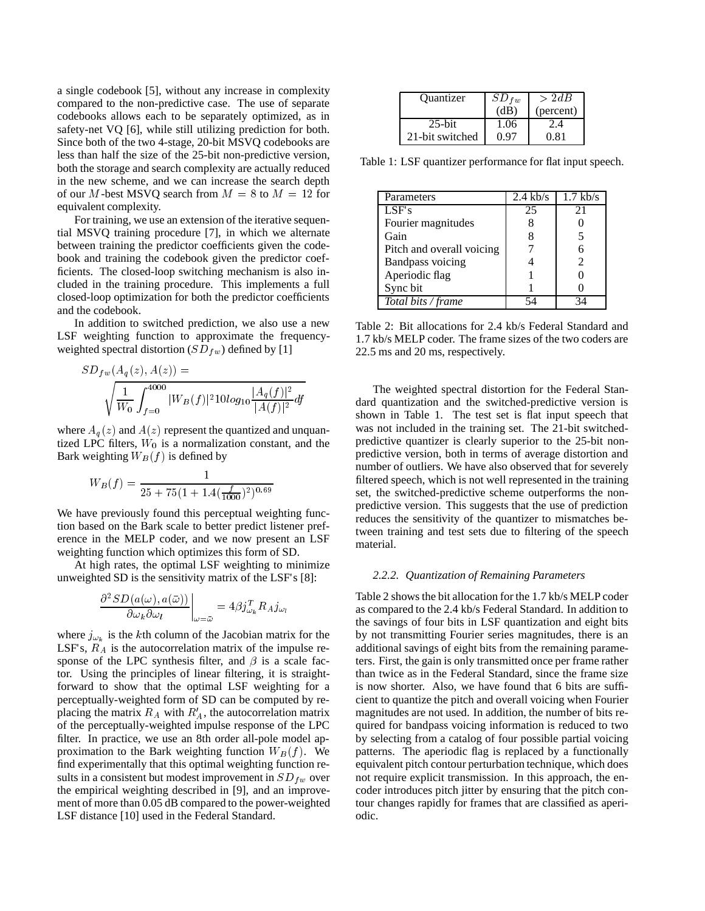a single codebook [5], without any increase in complexity compared to the non-predictive case. The use of separate codebooks allows each to be separately optimized, as in safety-net VQ [6], while still utilizing prediction for both. Since both of the two 4-stage, 20-bit MSVQ codebooks are less than half the size of the 25-bit non-predictive version, both the storage and search complexity are actually reduced in the new scheme, and we can increase the search depth of our M-best MSVQ search from  $M = 8$  to  $M = 12$  for equivalent complexity.

For training, we use an extension of the iterative sequential MSVQ training procedure [7], in which we alternate between training the predictor coefficients given the codebook and training the codebook given the predictor coefficients. The closed-loop switching mechanism is also included in the training procedure. This implements a full closed-loop optimization for both the predictor coefficients and the codebook.

In addition to switched prediction, we also use a new LSF weighting function to approximate the frequencyweighted spectral distortion ( $SD_{fw}$ ) defined by [1]

$$
SD_{fw}(A_q(z), A(z)) = \sqrt{\frac{1}{W_0} \int_{f=0}^{4000} |W_B(f)|^2 10 \log_{10} \frac{|A_q(f)|^2}{|A(f)|^2} df}
$$

where  $A_q(z)$  and  $A(z)$  represent the quantized and unquantized LPC filters,  $W_0$  is a normalization constant, and the Bark weighting  $W_B(f)$  is defined by

$$
W_B(f) = \frac{1}{25 + 75(1 + 1.4(\frac{f}{1000})^2)^{0.69}}
$$

We have previously found this perceptual weighting function based on the Bark scale to better predict listener preference in the MELP coder, and we now present an LSF weighting function which optimizes this form of SD.

At high rates, the optimal LSF weighting to minimize unweighted SD is the sensitivity matrix of the LSF's [8]:

$$
\left. \frac{\partial^2 SD(a(\omega), a(\bar{\omega}))}{\partial \omega_k \partial \omega_l} \right|_{\omega = \bar{\omega}} = 4\beta j_{\omega_k}^T R_A j_{\omega_l}
$$

where  $j_{\omega_k}$  is the kth column of the Jacobian matrix for the LSF's,  $R_A$  is the autocorrelation matrix of the impulse response of the LPC synthesis filter, and  $\beta$  is a scale factor. Using the principles of linear filtering, it is straightforward to show that the optimal LSF weighting for a perceptually-weighted form of SD can be computed by replacing the matrix  $R_A$  with  $R_A$ , the autocorrelation matrix of the perceptually-weighted impulse response of the LPC filter. In practice, we use an 8th order all-pole model approximation to the Bark weighting function  $W_B(f)$ . We find experimentally that this optimal weighting function results in a consistent but modest improvement in  $SD_{fw}$  over the empirical weighting described in [9], and an improvement of more than 0.05 dB compared to the power-weighted LSF distance [10] used in the Federal Standard.

| Quantizer       | $SD_{fw}$ | >2dB      |
|-----------------|-----------|-----------|
|                 | (dB)      | (percent) |
| $25$ -bit       | 1.06      |           |
| 21-bit switched | በ 97      | 0.81      |

Table 1: LSF quantizer performance for flat input speech.

| Parameters                | $2.4 \text{ kb/s}$ | $1.7$ kb/s |
|---------------------------|--------------------|------------|
| LSF's                     | 25                 | 21         |
| Fourier magnitudes        |                    |            |
| Gain                      | 8                  | 5          |
| Pitch and overall voicing |                    | 6          |
| <b>Bandpass voicing</b>   |                    | 2          |
| Aperiodic flag            |                    |            |
| Sync bit                  |                    |            |
| Total bits / frame        |                    |            |

Table 2: Bit allocations for 2.4 kb/s Federal Standard and 1.7 kb/s MELP coder. The frame sizes of the two coders are 22.5 ms and 20 ms, respectively.

The weighted spectral distortion for the Federal Standard quantization and the switched-predictive version is shown in Table 1. The test set is flat input speech that was not included in the training set. The 21-bit switchedpredictive quantizer is clearly superior to the 25-bit nonpredictive version, both in terms of average distortion and number of outliers. We have also observed that for severely filtered speech, which is not well represented in the training set, the switched-predictive scheme outperforms the nonpredictive version. This suggests that the use of prediction reduces the sensitivity of the quantizer to mismatches between training and test sets due to filtering of the speech material.

#### *2.2.2. Quantization of Remaining Parameters*

Table 2 shows the bit allocation for the 1.7 kb/s MELP coder as compared to the 2.4 kb/s Federal Standard. In addition to the savings of four bits in LSF quantization and eight bits by not transmitting Fourier series magnitudes, there is an additional savings of eight bits from the remaining parameters. First, the gain is only transmitted once per frame rather than twice as in the Federal Standard, since the frame size is now shorter. Also, we have found that 6 bits are sufficient to quantize the pitch and overall voicing when Fourier magnitudes are not used. In addition, the number of bits required for bandpass voicing information is reduced to two by selecting from a catalog of four possible partial voicing patterns. The aperiodic flag is replaced by a functionally equivalent pitch contour perturbation technique, which does not require explicit transmission. In this approach, the encoder introduces pitch jitter by ensuring that the pitch contour changes rapidly for frames that are classified as aperiodic.